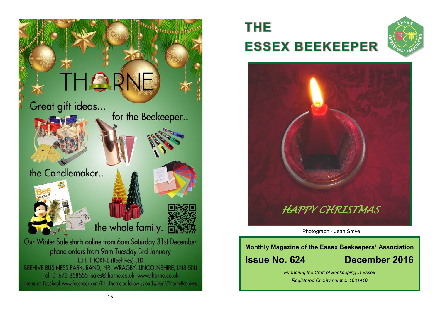

# **THE ESSEX BEEKEEPER**





**Photograph - Jean Smye** 

## **Monthly Magazine of the Essex Beekeepers' Association Issue No. 624 December 2016**

*Furthering the Craft of Beekeeping in Essex Registered Charity number 1031419*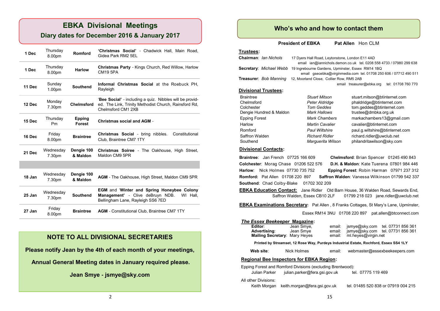## **EBKA Divisional Meetings**

## **Diary dates for December 2016 & January 2017**

| 1 Dec  | Thursday<br>8.00pm           | Romford                        | 'Christmas Social' - Chadwick Hall, Main Road,<br>Gidea Park RM2 5EL                                                                    |
|--------|------------------------------|--------------------------------|-----------------------------------------------------------------------------------------------------------------------------------------|
| 1 Dec  | Thursday<br>8.00pm           | <b>Harlow</b>                  | Christmas Party - Kings Church, Red Willow, Harlow<br><b>CM19 5PA</b>                                                                   |
| 11 Dec | Sunday<br>1.00 <sub>pm</sub> | <b>Southend</b>                | Informal Christmas Social at the Roebuck PH.<br>Rayleigh                                                                                |
| 12 Dec | Monday<br>7.30pm             | <b>Chelmsford</b>              | 'Bee Social' - including a quiz. Nibbles will be provid-<br>ed. The Link, Trinity Methodist Church, Rainsford Rd,<br>Chelmsford CM1 2XB |
| 15 Dec | Thursday<br>P <sub>m</sub>   | <b>Epping</b><br><b>Forest</b> | <b>Christmas social and AGM -</b>                                                                                                       |
| 16 Dec | Friday<br>8.00pm             | <b>Braintree</b>               | Christmas Social - bring nibbles.<br>Constitutional<br>Club, Braintree CM7 1TY                                                          |
| 21 Dec | Wednesday<br>7.30pm          | Dengie 100<br>& Maldon         | <b>Christmas Soiree - The Oakhouse, High Street,</b><br>Maldon CM9 5PR                                                                  |
|        |                              |                                |                                                                                                                                         |
| 18 Jan | Wednesday<br>7.30pm          | Dengie 100<br>& Maldon         | <b>AGM</b> - The Oakhouse, High Street, Maldon CM9 5PR                                                                                  |
| 25 Jan | Wednesday<br>7.30pm          | <b>Southend</b>                | <b>EGM and 'Winter and Spring Honeybee Colony</b><br>Management' - Clive deBruyn NDB.<br>WI Hall.<br>Bellingham Lane, Rayleigh SS6 7ED  |
| 27 Jan | Friday<br>8.00pm             | <b>Braintree</b>               | <b>AGM</b> - Constitutional Club, Braintree CM7 1TY                                                                                     |

### **NOTE TO ALL DIVISIONAL SECRETARIES**

**Please notify Jean by the 4th of each month of your meetings,**

**Annual General Meeting dates in January required please.**

**Jean Smye - jsmye@sky.com**

## **Who's who and how to contact them**

**President of EBKA** Pat Allen Hon CLM

### **Trustees:**

| Chairman: Ian Nichols                                              | 17 Dyers Hall Road, Leytonstone, London E11 4AD                                                                        | email ian@iannichols.demon.co.uk tel. 0208 558 4733 / 07980 299 638 |  |  |  |  |
|--------------------------------------------------------------------|------------------------------------------------------------------------------------------------------------------------|---------------------------------------------------------------------|--|--|--|--|
| Secretary: Michael Webb                                            | 19 Ingrebourne Gardens, Upminster, Essex RM14 1BQ<br>email gsecebka@virginmedia.com tel. 01708 250 606 / 07712 490 511 |                                                                     |  |  |  |  |
| Treasurer: Bob Manning<br>12, Moorland Close, Collier Row, RM5 2AB |                                                                                                                        |                                                                     |  |  |  |  |
|                                                                    |                                                                                                                        | tel: 01708 760 770<br>email treasurer@ebka.org                      |  |  |  |  |
| <b>Divisional Trustees:</b>                                        |                                                                                                                        |                                                                     |  |  |  |  |
| <b>Braintree</b>                                                   | <b>Stuart Mitson</b>                                                                                                   | stuart.mitson@btinternet.com                                        |  |  |  |  |
| Chelmsford                                                         | Peter Aldridge                                                                                                         | phaldridge@btinternet.com                                           |  |  |  |  |
| Colchester                                                         | <b>Tom Geddes</b>                                                                                                      | tom.geddes@btinternet.com                                           |  |  |  |  |
| Dengie Hundred & Maldon                                            | Mark Hallows                                                                                                           | trustee@dmbka.org.uk                                                |  |  |  |  |
| Epping Forest                                                      | Mark Chambers                                                                                                          | markachambers13@gmail.com                                           |  |  |  |  |
| Harlow                                                             | <b>Martin Cavalier</b>                                                                                                 | cavalier@btinternet.com                                             |  |  |  |  |

Romford *Paul Wiltshire* paul.g.wiltshire@btinternet.com Saffron Walden *Richard Ridler* richard.ridler@uwclub.net<br>Southend *Marquerita Wilson* philandritawilson@skv.com Marguerita Wilson philandritawilson@sky.com

#### **Divisional Contacts:**

**Braintree**: Jan French 07725 166 609 **Chelmsford**: Brian Spencer 01245 490 843 **Colchester**: Morag Chase 01206 522 576 **D.H. & Maldon**: Kate Tuerena 07801 984 446 **Harlow**: Nick Holmes 07730 735 752 **Epping Forest**: Robin Harman 07971 237 312 **Romford:** Pat Allen 01708 220 897 **Saffron Walden**: Vanessa Wilkinson 01799 542 337 **Southend: Chad Colby-Blake 01702 302 209** 

**EBKA Education Contact:** Jane Ridler Old Barn House, 36 Walden Road, Sewards End, Saffron Walden, Essex CB10 2LF 01799 218 023 jane.ridler@uwclub.net

**EBKA Examinations Secretary:** Pat Allen , 8 Franks Cottages, St Mary's Lane, Upminster,

Essex RM14 3NU 01708 220 897 pat.allen@btconnect.com

### *The Essex Beekeeper* **Magazine:**

| Editor:<br>Advertising:<br>Mailing Secretary: Mary Heyes                              | Jean Smye,<br>Jean Smye | email:<br>email:<br>email: | ml.heyes@virgin.net | ismye@sky.com tel. 07731 856 361<br>jsmye@sky.com tel. 07731 856 361 |  |
|---------------------------------------------------------------------------------------|-------------------------|----------------------------|---------------------|----------------------------------------------------------------------|--|
| Printed by Streamset, 12 Rose Way, Purdeys Industrial Estate, Rochford, Essex SS4 1LY |                         |                            |                     |                                                                      |  |
| Web site:                                                                             | Nick Holmes             | email:                     |                     | webmaster@essexbeekeepers.com                                        |  |

### **Regional Bee Inspectors for EBKA Region:**

Epping Forest and Romford Divisions (excluding Brentwood):

| Julian Parker        | julian.parker@fera.gsi.gov.uk | tel. 07775 119 469                  |
|----------------------|-------------------------------|-------------------------------------|
| All other Divisions: |                               |                                     |
| Keith Morgan         | keith.morgan@fera.gsi.gov.uk  | tel. 01485 520 838 or 07919 004 215 |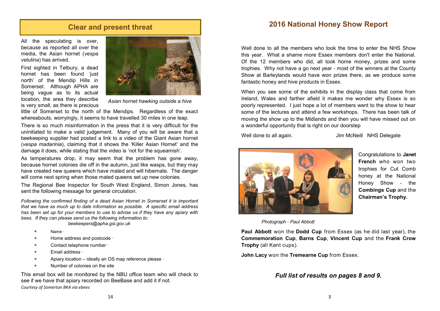## **Clear and present threat**

All the speculating is over, because as reported all over the media, the Asian hornet (*vespa velutina*) has arrived.

First sighted in Tetbury, a dead hornet has been found 'just north' of the Mendip Hills in Somerset. Although APHA are being vague as to its actual location, the area they describe is very small, as there is precious



*Asian hornet hawking outside a hive*

little of Somerset to the north of the Mendips. Regardless of the exact whereabouts, worryingly, it seems to have travelled 30 miles in one leap.

There is so much misinformation in the press that it is very difficult for the uninitiated to make a valid judgement. Many of you will be aware that a beekeeping supplier had posted a link to a video of the Giant Asian hornet (*vespa madarinia*), claiming that it shows the 'Killer Asian Hornet' and the damage it does, while stating that the video is 'not for the squeamish'.

As temperatures drop, it may seem that the problem has gone away, because hornet colonies die off in the autumn, just like wasps, but they may have created new queens which have mated and will hibernate. The danger will come next spring when those mated queens set up new colonies.

The Regional Bee Inspector for South West England, Simon Jones, has sent the following message for general circulation.

*Following the confirmed finding of a dead Asian Hornet in Somerset it is important that we have as much up to date information as possible. A specific email address has been set up for your members to use to advise us if they have any apiary with bees. If they can please send us the following information to:* 

 *beekeepers@apha.gsi.gov.uk*

- Name ∙
- Home address and postcode ∙
- Contact telephone number ∙
- Email address ∙
- Apiary location ideally an OS map reference please ∙
- Number of colonies on the site

This email box will be monitored by the NBU office team who will check to see if we have that apiary recorded on BeeBase and add it if not. *Courtesy of Somerton BKA via ebees*

## **2016 National Honey Show Report**

Well done to all the members who took the time to enter the NHS Show this year. What a shame more Essex members don't enter the National. Of the 12 members who did, all took home money, prizes and some trophies. Why not have a go next year - most of the winners at the County Show at Barleylands would have won prizes there, as we produce some fantastic honey and hive products in Essex.

When you see some of the exhibits in the display class that come from Ireland, Wales and farther afield it makes me wonder why Essex is so poorly represented. I just hope a lot of members went to the show to hear some of the lectures and attend a few workshops. There has been talk of moving the show up to the Midlands and then you will have missed out on a wonderful opportunity that is right on our doorstep

Well done to all again.  $\frac{1}{2}$  Jim McNeill NHS Delegate



Congratulations to **Janet French** who won two trophies for Cut Comb honey at the National Honey Show - the **Combings Cup** and the **Chairman's Trophy.**

*Photograph* - *Paul Abbott*

**Paul Abbott** won the **Dodd Cup** from Essex (as he did last year), the **Commemoration Cup**, **Barns Cup**, **Vincent Cup** and the **Frank Crow Trophy** (all Kent cups).

**John Lacy** won the **Tremearne Cup** from Essex.

### *Full list of results on pages 8 and 9.*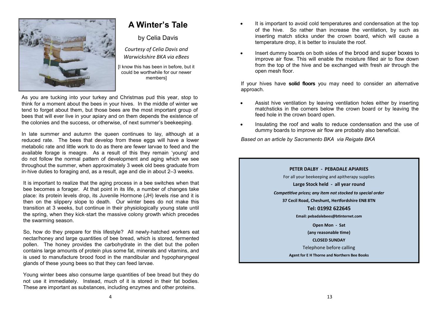

## **A Winter's Tale**

by Celia Davis

*Courtesy of Celia Davis and Warwickshire BKA via eBees*

[I know this has been in before, but it could be worthwhile for our newer members]

As you are tucking into your turkey and Christmas pud this year, stop to think for a moment about the bees in your hives. In the middle of winter we tend to forget about them, but those bees are the most important group of bees that will ever live in your apiary and on them depends the existence of the colonies and the success, or otherwise, of next summer's beekeeping.

In late summer and autumn the queen continues to lay, although at a reduced rate. The bees that develop from these eggs will have a lower metabolic rate and little work to do as there are fewer larvae to feed and the available forage is meagre. As a result of this they remain 'young' and do not follow the normal pattern of development and aging which we see throughout the summer, when approximately 3 week old bees graduate from in-hive duties to foraging and, as a result, age and die in about 2–3 weeks.

It is important to realize that the aging process in a bee switches when that bee becomes a forager. At that point in its life, a number of changes take place: its protein levels drop, its Juvenile Hormone (JH) levels rise and it is then on the slippery slope to death. Our winter bees do not make this transition at 3 weeks, but continue in their physiologically young state until the spring, when they kick-start the massive colony growth which precedes the swarming season.

So, how do they prepare for this lifestyle? All newly-hatched workers eat nectar/honey and large quantities of bee bread, which is stored, fermented pollen. The honey provides the carbohydrate in the diet but the pollen contains large amounts of protein plus some fat, minerals and vitamins, and is used to manufacture brood food in the mandibular and hypopharyngeal glands of these young bees so that they can feed larvae.

Young winter bees also consume large quantities of bee bread but they do not use it immediately. Instead, much of it is stored in their fat bodies. These are important as substances, including enzymes and other proteins.

- It is important to avoid cold temperatures and condensation at the top of the hive. So rather than increase the ventilation, by such as inserting match sticks under the crown board, which will cause a temperature drop, it is better to insulate the roof.
- Insert dummy boards on both sides of the brood and super boxes to improve air flow. This will enable the moisture filled air to flow down from the top of the hive and be exchanged with fresh air through the open mesh floor.

If your hives have **solid floors** you may need to consider an alternative approach.

- Assist hive ventilation by leaving ventilation holes either by inserting matchsticks in the corners below the crown board or by leaving the feed hole in the crown board open.
- Insulating the roof and walls to reduce condensation and the use of dummy boards to improve air flow are probably also beneficial.

*Based on an article by Sacramento BKA via Reigate BKA*

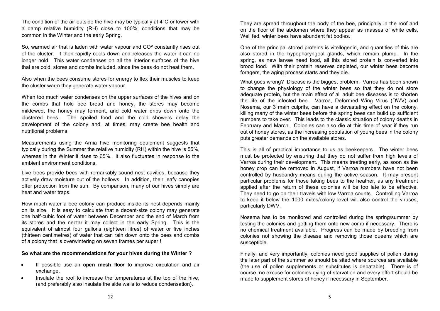The condition of the air outside the hive may be typically at 4°C or lower with a damp relative humidity (RH) close to 100%; conditions that may be common in the Winter and the early Spring.

So, warmed air that is laden with water vapour and  $CO<sup>2</sup>$  constantly rises out of the cluster. It then rapidly cools down and releases the water it can no longer hold. This water condenses on all the interior surfaces of the hive that are cold, stores and combs included, since the bees do not heat them.

Also when the bees consume stores for energy to flex their muscles to keep the cluster warm they generate water vapour.

When too much water condenses on the upper surfaces of the hives and on the combs that hold bee bread and honey, the stores may become mildewed, the honey may ferment, and cold water drips down onto the clustered bees. The spoiled food and the cold showers delay the development of the colony and, at times, may create bee health and nutritional problems.

Measurements using the Arnia hive monitoring equipment suggests that typically during the Summer the relative humidity (RH) within the hive is 55%, whereas in the Winter it rises to 65%. It also fluctuates in response to the ambient environment conditions.

Live trees provide bees with remarkably sound nest cavities, because they actively draw moisture out of the hollows. In addition, their leafy canopies offer protection from the sun. By comparison, many of our hives simply are heat and water traps.

How much water a bee colony can produce inside its nest depends mainly on its size. It is easy to calculate that a decent-size colony may generate one half-cubic foot of water between December and the end of March from its stores and the nectar it may collect in the early Spring. This is the equivalent of almost four gallons (eighteen litres) of water or five inches (thirteen centimetres) of water that can rain down onto the bees and combs of a colony that is overwintering on seven frames per super !

### **So what are the recommendations for your hives during the Winter ?**

- If possible use an **open mesh floor** to improve circulation and air exchange.
- Insulate the roof to increase the temperatures at the top of the hive. (and preferably also insulate the side walls to reduce condensation).

They are spread throughout the body of the bee, principally in the roof and on the floor of the abdomen where they appear as masses of white cells. Well fed, winter bees have abundant fat bodies.

One of the principal stored proteins is vitellogenin, and quantities of this are also stored in the hypopharyngeal glands, which remain plump. In the spring, as new larvae need food, all this stored protein is converted into brood food. With their protein reserves depleted, our winter bees become foragers, the aging process starts and they die.

What goes wrong? Disease is the biggest problem. Varroa has been shown to change the physiology of the winter bees so that they do not store adequate protein, but the main effect of all adult bee diseases is to shorten the life of the infected bee. Varroa, Deformed Wing Virus (DWV) and Nosema, our 3 main culprits, can have a devastating effect on the colony, killing many of the winter bees before the spring bees can build up sufficient numbers to take over. This leads to the classic situation of colony deaths in February and March. Colonies can also die at this time of year if they run out of honey stores, as the increasing population of young bees in the colony puts greater demands on the available stores.

This is all of practical importance to us as beekeepers. The winter bees must be protected by ensuring that they do not suffer from high levels of Varroa during their development. This means treating early, as soon as the honey crop can be removed in August, if Varroa numbers have not been controlled by husbandry means during the active season. It may present particular problems for those taking bees to the heather, as any treatment applied after the return of these colonies will be too late to be effective. They need to go on their travels with low Varroa counts. Controlling Varroa to keep it below the 1000 mites/colony level will also control the viruses, particularly DWV.

Nosema has to be monitored and controlled during the spring/summer by testing the colonies and getting them onto new comb if necessary. There is no chemical treatment available. Progress can be made by breeding from colonies not showing the disease and removing those queens which are susceptible.

Finally, and very importantly, colonies need good supplies of pollen during the later part of the summer so should be sited where sources are available (the use of pollen supplements or substitutes is debatable). There is of course, no excuse for colonies dying of starvation and every effort should be made to supplement stores of honey if necessary in September.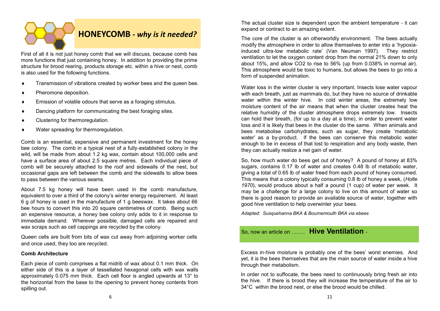

First of all it is not just honey comb that we will discuss, because comb has more functions that just containing honey. In addition to providing the prime structure for brood rearing, products storage etc. within a hive or nest, comb is also used for the following functions.

- Transmission of vibrations created by worker bees and the queen bee.
- Pheromone deposition.
- Emission of volatile odours that serve as a foraging stimulus.
- Dancing platform for communicating the best foraging sites.
- Clustering for thermoregulation.
- Water spreading for thermoregulation.

Comb is an essential, expensive and permanent investment for the honey bee colony. The comb in a typical nest of a fully-established colony in the wild, will be made from about 1.2 kg wax, contain about 100,000 cells and have a surface area of about 2.5 square metres. Each individual piece of comb will be securely attached to the roof and sidewalls of the nest, but occasional gaps are left between the comb and the sidewalls to allow bees to pass between the various seams.

About 7.5 kg honey will have been used in the comb manufacture, equivalent to over a third of the colony's winter energy requirement. At least 6 g of honey is used in the manufacture of 1 g beeswax. It takes about 66 bee hours to convert this into 20 square centimetres of comb. Being such an expensive resource, a honey bee colony only adds to it in response to immediate demand. Wherever possible, damaged cells are repaired and wax scraps such as cell cappings are recycled by the colony.

Queen cells are built from bits of wax cut away from adjoining worker cells and once used, they too are recycled.

### **Comb Architecture**

Each piece of comb comprises a flat midrib of wax about 0.1 mm thick. On either side of this is a layer of tessellated hexagonal cells with wax walls approximately 0.075 mm thick. Each cell floor is angled upwards at 13° to the horizontal from the base to the opening to prevent honey contents from spilling out.

The actual cluster size is dependent upon the ambient temperature - it can expand or contract to an amazing extent.

The core of the cluster is an otherworldly environment. The bees actually modify the atmosphere in order to allow themselves to enter into a 'hypoxiainduced ultra-low metabolic rate' (Van Neuman 1997). They restrict ventilation to let the oxygen content drop from the normal 21% down to only about 15%, and allow CO2 to rise to 56% (up from 0.038% in normal air). This atmosphere would be toxic to humans, but allows the bees to go into a form of suspended animation.

Water loss in the winter cluster is very important. Insects lose water vapour with each breath, just as mammals do, but they have no source of drinkable water within the winter hive. In cold winter areas, the extremely low moisture content of the air means that when the cluster creates heat the relative humidity of the cluster atmosphere drops extremely low. Insects can hold their breath, (for up to a day at a time), in order to prevent water loss and it is likely that bees in the cluster do the same. When animals and bees metabolise carbohydrates, such as sugar, they create 'metabolic water' as a by-product. If the bees can conserve this metabolic water enough to be in excess of that lost to respiration and any body waste, then they can actually realize a net gain of water.

So, how much water do bees get out of honey? A pound of honey at 83% sugars, contains 0.17 lb of water and creates 0.48 lb of metabolic water, giving a total of 0.65 lb of water freed from each pound of honey consumed. This means that a colony typically consuming 0.8 lb of honey a week, (*Holte 1970*), would produce about a half a pound (1 cup) of water per week. It may be a challenge for a large colony to live on this amount of water so there is good reason to provide an available source of water, together with good hive ventilation to help overwinter your bees.

*Adapted: Susquehanna BKA & Bournemouth BKA via ebees* 

## So, now an article on …….. **Hive Ventilation** -

Excess in-hive moisture is probably one of the bees' worst enemies. And yet, it is the bees themselves that are the main source of water inside a hive through their metabolism.

In order not to suffocate, the bees need to continuously bring fresh air into the hive. If there is brood they will increase the temperature of the air to 34°C within the brood nest, or else the brood would be chilled.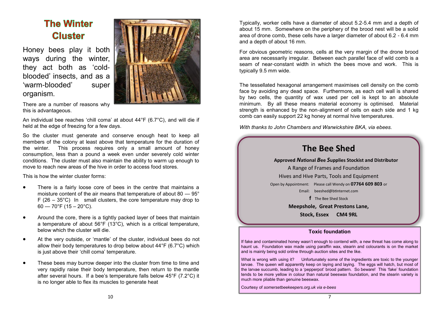## **The Winter Cluster**

Honey bees play it both ways during the winter, they act both as 'coldblooded' insects, and as a 'warm-blooded' super organism.



There are a number of reasons why this is advantageous.

An individual bee reaches 'chill coma' at about 44°F (6.7°C), and will die if held at the edge of freezing for a few days.

So the cluster must generate and conserve enough heat to keep all members of the colony at least above that temperature for the duration of the winter. This process requires only a small amount of honey consumption, less than a pound a week even under severely cold winter conditions. The cluster must also maintain the ability to warm up enough to move to reach new areas of the hive in order to access food stores.

This is how the winter cluster forms:

- There is a fairly loose core of bees in the centre that maintains a moisture content of the air means that temperature of about 80 — 95° F (26 – 35 $^{\circ}$ C) In small clusters, the core temperature may drop to  $60 - 70$ °F (15 – 20°C).
- Around the core, there is a tightly packed layer of bees that maintain a temperature of about 56°F (13°C), which is a critical temperature, below which the cluster will die.
- At the very outside, or 'mantle' of the cluster, individual bees do not allow their body temperatures to drop below about 44°F (6.7°C) which is just above their 'chill coma' temperature.
- These bees may burrow deeper into the cluster from time to time and very rapidly raise their body temperature, then return to the mantle after several hours. If a bee's temperature falls below 45°F (7.2°C) it is no longer able to flex its muscles to generate heat

Typically, worker cells have a diameter of about 5.2-5.4 mm and a depth of about 15 mm. Somewhere on the periphery of the brood nest will be a solid area of drone comb, these cells have a larger diameter of about 6.2 - 6.4 mm and a depth of about 16 mm.

For obvious geometric reasons, cells at the very margin of the drone brood area are necessarily irregular. Between each parallel face of wild comb is a seam of near-constant width in which the bees move and work. This is typically 9.5 mm wide.

The tessellated hexagonal arrangement maximises cell density on the comb face by avoiding any dead space. Furthermore, as each cell wall is shared by two cells, the quantity of wax used per cell is kept to an absolute minimum. By all these means material economy is optimised. Material strength is enhanced by the non-alignment of cells on each side and 1 kg comb can easily support 22 kg honey at normal hive temperatures.

*With thanks to John Chambers and Warwickshire BKA, via ebees.*



If fake and contaminated honey wasn't enough to contend with, a new threat has come along to haunt us. Foundation wax made using paraffin wax, stearin and colourants is on the market and is mainly being sold online through auction sites and the like.

What is wrong with using it? Unfortunately some of the ingredients are toxic to the younger larvae. The queen will apparently keep on laying and laying. The eggs will hatch, but most of the larvae succumb, leading to a 'pepperpot' brood pattern. So beware! This 'fake' foundation tends to be more yellow in colour than natural beeswax foundation, and the stearin variety is much more pliable than genuine beeswax.

Courtesy of *somersetbeekeepers.org.uk via e*-*bees*